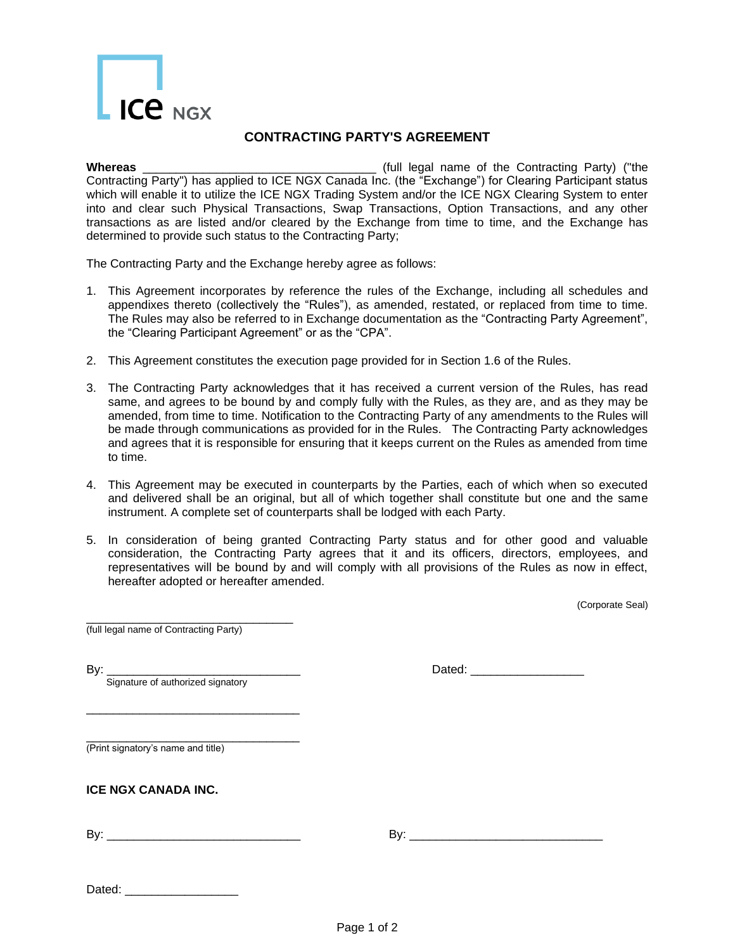## $ICe<sub>NGX</sub>$

## **CONTRACTING PARTY'S AGREEMENT**

**Whereas** \_\_\_\_\_\_\_\_\_\_\_\_\_\_\_\_\_\_\_\_\_\_\_\_\_\_\_\_\_\_\_\_\_\_\_ (full legal name of the Contracting Party) ("the Contracting Party") has applied to ICE NGX Canada Inc. (the "Exchange") for Clearing Participant status which will enable it to utilize the ICE NGX Trading System and/or the ICE NGX Clearing System to enter into and clear such Physical Transactions, Swap Transactions, Option Transactions, and any other transactions as are listed and/or cleared by the Exchange from time to time, and the Exchange has determined to provide such status to the Contracting Party;

The Contracting Party and the Exchange hereby agree as follows:

- 1. This Agreement incorporates by reference the rules of the Exchange, including all schedules and appendixes thereto (collectively the "Rules"), as amended, restated, or replaced from time to time. The Rules may also be referred to in Exchange documentation as the "Contracting Party Agreement", the "Clearing Participant Agreement" or as the "CPA".
- 2. This Agreement constitutes the execution page provided for in Section 1.6 of the Rules.
- 3. The Contracting Party acknowledges that it has received a current version of the Rules, has read same, and agrees to be bound by and comply fully with the Rules, as they are, and as they may be amended, from time to time. Notification to the Contracting Party of any amendments to the Rules will be made through communications as provided for in the Rules. The Contracting Party acknowledges and agrees that it is responsible for ensuring that it keeps current on the Rules as amended from time to time.
- 4. This Agreement may be executed in counterparts by the Parties, each of which when so executed and delivered shall be an original, but all of which together shall constitute but one and the same instrument. A complete set of counterparts shall be lodged with each Party.
- 5. In consideration of being granted Contracting Party status and for other good and valuable consideration, the Contracting Party agrees that it and its officers, directors, employees, and representatives will be bound by and will comply with all provisions of the Rules as now in effect, hereafter adopted or hereafter amended.

(Corporate Seal)

\_\_\_\_\_\_\_\_\_\_\_\_\_\_\_\_\_\_\_\_\_\_\_\_\_\_\_\_\_\_\_ (full legal name of Contracting Party)

| I<br>۰. |  |
|---------|--|

Signature of authorized signatory

\_\_\_\_\_\_\_\_\_\_\_\_\_\_\_\_\_\_\_\_\_\_\_\_\_\_\_\_\_\_\_\_

| Bv<br>_____ |
|-------------|
|-------------|

\_\_\_\_\_\_\_\_\_\_\_\_\_\_\_\_\_\_\_\_\_\_\_\_\_\_\_\_\_\_\_\_ (Print signatory's name and title)

## **ICE NGX CANADA INC.**

By: \_\_\_\_\_\_\_\_\_\_\_\_\_\_\_\_\_\_\_\_\_\_\_\_\_\_\_\_\_ By: \_\_\_\_\_\_\_\_\_\_\_\_\_\_\_\_\_\_\_\_\_\_\_\_\_\_\_\_\_

| Dated:<br>$\sim$ |
|------------------|
|------------------|